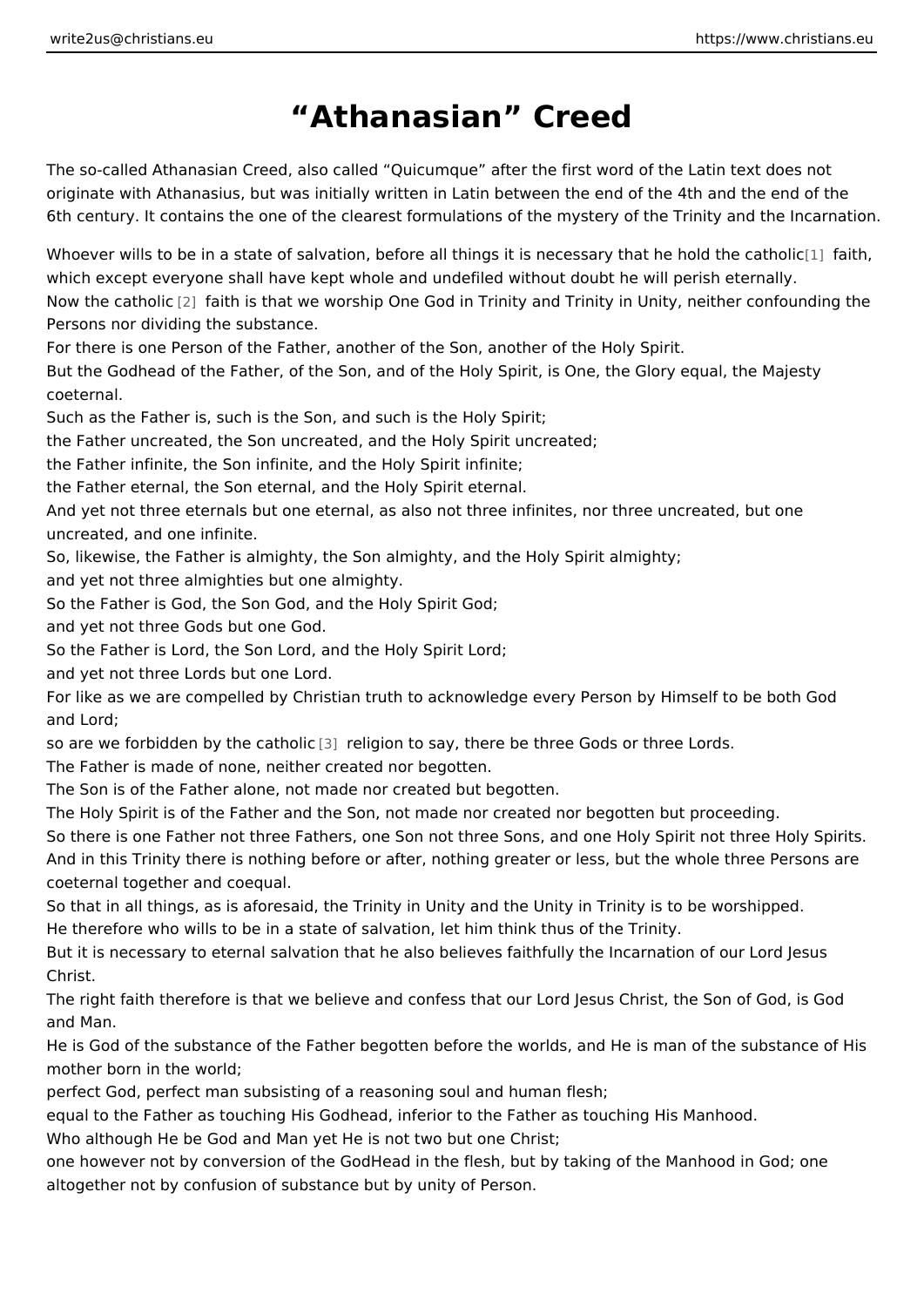## Athanasian Creed

The so-called Athanasian Creed, also called Quicumque after the first word of originate with Athanasius, but was initially written in Latin between the end of t 6th century. It contains the one of the clearest formulations of the mystery of th

Whoever wills to be in a state of salvation, before all things it is ne[ces](#page-1-0)sion that which except everyone shall have kept whole and undefiled without doubt he will Now the cath alifoaith is that we worship One God in Trinity and Trinity in Unity, n Persons nor dividing the substance.

For there is one Person of the Father, another of the Son, another of the Holy S But the Godhead of the Father, of the Son, and of the Holy Spirit, is One, the GI coeternal.

Such as the Father is, such is the Son, and such is the Holy Spirit;

the Father uncreated, the Son uncreated, and the Holy Spirit uncreated;

the Father infinite, the Son infinite, and the Holy Spirit infinite;

the Father eternal, the Son eternal, and the Holy Spirit eternal.

And yet not three eternals but one eternal, as also not three infinites, nor three uncreated, and one infinite.

So, likewise, the Father is almighty, the Son almighty, and the Holy Spirit almig and yet not three almighties but one almighty.

So the Father is God, the Son God, and the Holy Spirit God;

and yet not three Gods but one God.

So the Father is Lord, the Son Lord, and the Holy Spirit Lord;

and yet not three Lords but one Lord.

For like as we are compelled by Christian truth to acknowledge every Person by and Lord;

so are we forbidden by t[he](#page-1-0) can allow to say, there be three Gods or three Lords. The Father is made of none, neither created nor begotten.

The Son is of the Father alone, not made nor created but begotten.

The Holy Spirit is of the Father and the Son, not made nor created nor begotten So there is one Father not three Fathers, one Son not three Sons, and one Holy And in this Trinity there is nothing before or after, nothing greater or less, but t coeternal together and coequal.

So that in all things, as is aforesaid, the Trinity in Unity and the Unity in Trinity He therefore who wills to be in a state of salvation, let him think thus of the Tri But it is necessary to eternal salvation that he also believes faithfully the Incar Christ.

The right faith therefore is that we believe and confess that our Lord Jesus Chri and Man.

He is God of the substance of the Father begotten before the worlds, and He is man of the substance of the Father begotten before the worlds, and He is mother born in the world;

perfect God, perfect man subsisting of a reasoning soul and human flesh;

equal to the Father as touching His Godhead, inferior to the Father as touching Who although He be God and Man yet He is not two but one Christ;

one however not by conversion of the GodHead in the flesh, but by taking of the altogether not by confusion of substance but by unity of Person.